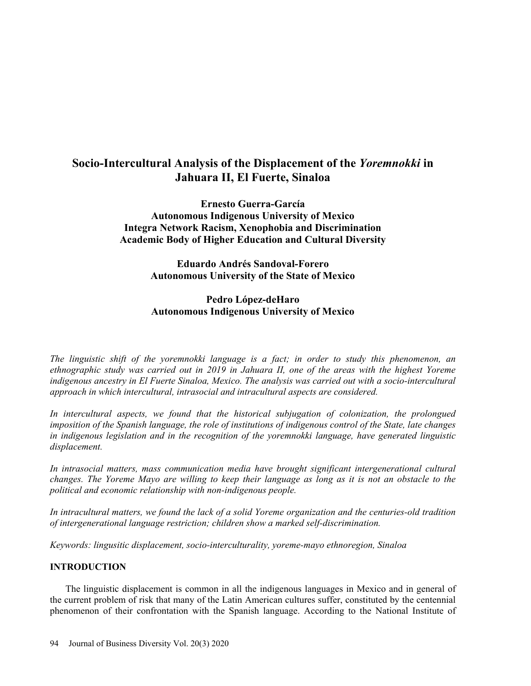# **Socio-Intercultural Analysis of the Displacement of the** *Yoremnokki* **in Jahuara II, El Fuerte, Sinaloa**

**Ernesto Guerra-García Autonomous Indigenous University of Mexico Integra Network Racism, Xenophobia and Discrimination Academic Body of Higher Education and Cultural Diversity** 

> **Eduardo Andrés Sandoval-Forero Autonomous University of the State of Mexico**

## **Pedro López-deHaro Autonomous Indigenous University of Mexico**

*The linguistic shift of the yoremnokki language is a fact; in order to study this phenomenon, an ethnographic study was carried out in 2019 in Jahuara II, one of the areas with the highest Yoreme indigenous ancestry in El Fuerte Sinaloa, Mexico. The analysis was carried out with a socio-intercultural approach in which intercultural, intrasocial and intracultural aspects are considered.* 

*In intercultural aspects, we found that the historical subjugation of colonization, the prolongued imposition of the Spanish language, the role of institutions of indigenous control of the State, late changes in indigenous legislation and in the recognition of the yoremnokki language, have generated linguistic displacement.* 

*In intrasocial matters, mass communication media have brought significant intergenerational cultural changes. The Yoreme Mayo are willing to keep their language as long as it is not an obstacle to the political and economic relationship with non-indigenous people.* 

*In intracultural matters, we found the lack of a solid Yoreme organization and the centuries-old tradition of intergenerational language restriction; children show a marked self-discrimination.* 

*Keywords: lingusitic displacement, socio-interculturality, yoreme-mayo ethnoregion, Sinaloa* 

## **INTRODUCTION**

The linguistic displacement is common in all the indigenous languages in Mexico and in general of the current problem of risk that many of the Latin American cultures suffer, constituted by the centennial phenomenon of their confrontation with the Spanish language. According to the National Institute of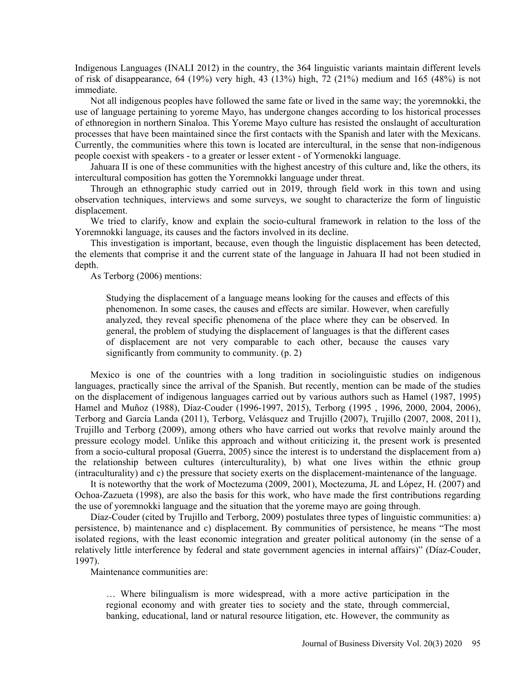Indigenous Languages (INALI 2012) in the country, the 364 linguistic variants maintain different levels of risk of disappearance, 64 (19%) very high, 43 (13%) high, 72 (21%) medium and 165 (48%) is not immediate.

Not all indigenous peoples have followed the same fate or lived in the same way; the yoremnokki, the use of language pertaining to yoreme Mayo, has undergone changes according to los historical processes of ethnoregion in northern Sinaloa. This Yoreme Mayo culture has resisted the onslaught of acculturation processes that have been maintained since the first contacts with the Spanish and later with the Mexicans. Currently, the communities where this town is located are intercultural, in the sense that non-indigenous people coexist with speakers - to a greater or lesser extent - of Yormenokki language.

Jahuara II is one of these communities with the highest ancestry of this culture and, like the others, its intercultural composition has gotten the Yoremnokki language under threat.

Through an ethnographic study carried out in 2019, through field work in this town and using observation techniques, interviews and some surveys, we sought to characterize the form of linguistic displacement.

We tried to clarify, know and explain the socio-cultural framework in relation to the loss of the Yoremnokki language, its causes and the factors involved in its decline.

This investigation is important, because, even though the linguistic displacement has been detected, the elements that comprise it and the current state of the language in Jahuara II had not been studied in depth.

As Terborg (2006) mentions:

Studying the displacement of a language means looking for the causes and effects of this phenomenon. In some cases, the causes and effects are similar. However, when carefully analyzed, they reveal specific phenomena of the place where they can be observed. In general, the problem of studying the displacement of languages is that the different cases of displacement are not very comparable to each other, because the causes vary significantly from community to community. (p. 2)

Mexico is one of the countries with a long tradition in sociolinguistic studies on indigenous languages, practically since the arrival of the Spanish. But recently, mention can be made of the studies on the displacement of indigenous languages carried out by various authors such as Hamel (1987, 1995) Hamel and Muñoz (1988), Díaz-Couder (1996-1997, 2015), Terborg (1995 , 1996, 2000, 2004, 2006), Terborg and García Landa (2011), Terborg, Velásquez and Trujillo (2007), Trujillo (2007, 2008, 2011), Trujillo and Terborg (2009), among others who have carried out works that revolve mainly around the pressure ecology model. Unlike this approach and without criticizing it, the present work is presented from a socio-cultural proposal (Guerra, 2005) since the interest is to understand the displacement from a) the relationship between cultures (interculturality), b) what one lives within the ethnic group (intraculturality) and c) the pressure that society exerts on the displacement-maintenance of the language.

It is noteworthy that the work of Moctezuma (2009, 2001), Moctezuma, JL and López, H. (2007) and Ochoa-Zazueta (1998), are also the basis for this work, who have made the first contributions regarding the use of yoremnokki language and the situation that the yoreme mayo are going through.

Díaz-Couder (cited by Trujillo and Terborg, 2009) postulates three types of linguistic communities: a) persistence, b) maintenance and c) displacement. By communities of persistence, he means "The most isolated regions, with the least economic integration and greater political autonomy (in the sense of a relatively little interference by federal and state government agencies in internal affairs)" (Díaz-Couder, 1997).

Maintenance communities are:

… Where bilingualism is more widespread, with a more active participation in the regional economy and with greater ties to society and the state, through commercial, banking, educational, land or natural resource litigation, etc. However, the community as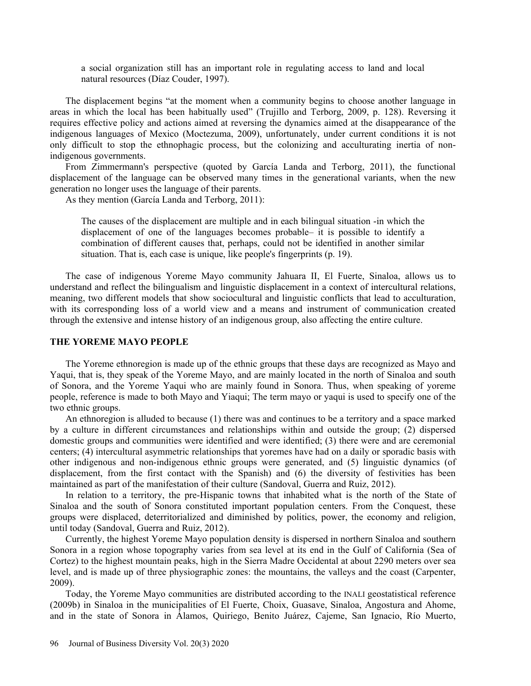a social organization still has an important role in regulating access to land and local natural resources (Díaz Couder, 1997).

The displacement begins "at the moment when a community begins to choose another language in areas in which the local has been habitually used" (Trujillo and Terborg, 2009, p. 128). Reversing it requires effective policy and actions aimed at reversing the dynamics aimed at the disappearance of the indigenous languages of Mexico (Moctezuma, 2009), unfortunately, under current conditions it is not only difficult to stop the ethnophagic process, but the colonizing and acculturating inertia of nonindigenous governments.

From Zimmermann's perspective (quoted by García Landa and Terborg, 2011), the functional displacement of the language can be observed many times in the generational variants, when the new generation no longer uses the language of their parents.

As they mention (García Landa and Terborg, 2011):

The causes of the displacement are multiple and in each bilingual situation -in which the displacement of one of the languages becomes probable– it is possible to identify a combination of different causes that, perhaps, could not be identified in another similar situation. That is, each case is unique, like people's fingerprints (p. 19).

The case of indigenous Yoreme Mayo community Jahuara II, El Fuerte, Sinaloa, allows us to understand and reflect the bilingualism and linguistic displacement in a context of intercultural relations, meaning, two different models that show sociocultural and linguistic conflicts that lead to acculturation, with its corresponding loss of a world view and a means and instrument of communication created through the extensive and intense history of an indigenous group, also affecting the entire culture.

### **THE YOREME MAYO PEOPLE**

The Yoreme ethnoregion is made up of the ethnic groups that these days are recognized as Mayo and Yaqui, that is, they speak of the Yoreme Mayo, and are mainly located in the north of Sinaloa and south of Sonora, and the Yoreme Yaqui who are mainly found in Sonora. Thus, when speaking of yoreme people, reference is made to both Mayo and Yiaqui; The term mayo or yaqui is used to specify one of the two ethnic groups.

An ethnoregion is alluded to because (1) there was and continues to be a territory and a space marked by a culture in different circumstances and relationships within and outside the group; (2) dispersed domestic groups and communities were identified and were identified; (3) there were and are ceremonial centers; (4) intercultural asymmetric relationships that yoremes have had on a daily or sporadic basis with other indigenous and non-indigenous ethnic groups were generated, and (5) linguistic dynamics (of displacement, from the first contact with the Spanish) and (6) the diversity of festivities has been maintained as part of the manifestation of their culture (Sandoval, Guerra and Ruiz, 2012).

In relation to a territory, the pre-Hispanic towns that inhabited what is the north of the State of Sinaloa and the south of Sonora constituted important population centers. From the Conquest, these groups were displaced, deterritorialized and diminished by politics, power, the economy and religion, until today (Sandoval, Guerra and Ruiz, 2012).

Currently, the highest Yoreme Mayo population density is dispersed in northern Sinaloa and southern Sonora in a region whose topography varies from sea level at its end in the Gulf of California (Sea of Cortez) to the highest mountain peaks, high in the Sierra Madre Occidental at about 2290 meters over sea level, and is made up of three physiographic zones: the mountains, the valleys and the coast (Carpenter, 2009).

Today, the Yoreme Mayo communities are distributed according to the INALI geostatistical reference (2009b) in Sinaloa in the municipalities of El Fuerte, Choix, Guasave, Sinaloa, Angostura and Ahome, and in the state of Sonora in Álamos, Quiriego, Benito Juárez, Cajeme, San Ignacio, Río Muerto,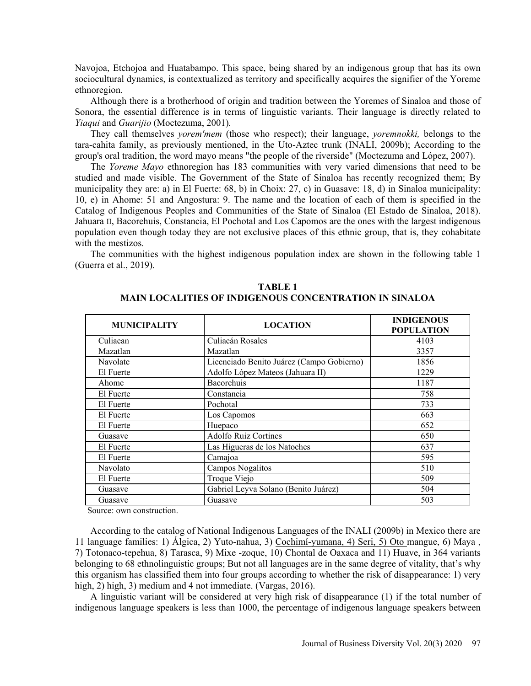Navojoa, Etchojoa and Huatabampo. This space, being shared by an indigenous group that has its own sociocultural dynamics, is contextualized as territory and specifically acquires the signifier of the Yoreme ethnoregion.

Although there is a brotherhood of origin and tradition between the Yoremes of Sinaloa and those of Sonora, the essential difference is in terms of linguistic variants. Their language is directly related to *Yiaqui* and *Guarijio* (Moctezuma, 2001)*.*

They call themselves *yorem'mem* (those who respect); their language, *yoremnokki,* belongs to the tara-cahita family, as previously mentioned, in the Uto-Aztec trunk (INALI, 2009b); According to the group's oral tradition, the word mayo means "the people of the riverside" (Moctezuma and López, 2007).

The *Yoreme Mayo* ethnoregion has 183 communities with very varied dimensions that need to be studied and made visible. The Government of the State of Sinaloa has recently recognized them; By municipality they are: a) in El Fuerte: 68, b) in Choix: 27, c) in Guasave: 18, d) in Sinaloa municipality: 10, e) in Ahome: 51 and Angostura: 9. The name and the location of each of them is specified in the Catalog of Indigenous Peoples and Communities of the State of Sinaloa (El Estado de Sinaloa, 2018). Jahuara II, Bacorehuis, Constancia, El Pochotal and Los Capomos are the ones with the largest indigenous population even though today they are not exclusive places of this ethnic group, that is, they cohabitate with the mestizos.

The communities with the highest indigenous population index are shown in the following table 1 (Guerra et al., 2019).

| <b>MUNICIPALITY</b> | <b>LOCATION</b>                           | <b>INDIGENOUS</b><br><b>POPULATION</b> |
|---------------------|-------------------------------------------|----------------------------------------|
| Culiacan            | Culiacán Rosales                          | 4103                                   |
| Mazatlan            | Mazatlan                                  | 3357                                   |
| Navolate            | Licenciado Benito Juárez (Campo Gobierno) | 1856                                   |
| El Fuerte           | Adolfo López Mateos (Jahuara II)          | 1229                                   |
| Ahome               | Bacorehuis                                | 1187                                   |
| El Fuerte           | Constancia                                | 758                                    |
| El Fuerte           | Pochotal                                  | 733                                    |
| El Fuerte           | Los Capomos                               | 663                                    |
| El Fuerte           | Huepaco                                   | 652                                    |
| Guasave             | <b>Adolfo Ruiz Cortines</b>               | 650                                    |
| El Fuerte           | Las Higueras de los Natoches              | 637                                    |
| El Fuerte           | Camajoa                                   | 595                                    |
| Navolato            | Campos Nogalitos                          | 510                                    |
| El Fuerte           | Troque Viejo                              | 509                                    |
| Guasave             | Gabriel Leyva Solano (Benito Juárez)      | 504                                    |
| Guasave             | Guasave                                   | 503                                    |

## **TABLE 1 MAIN LOCALITIES OF INDIGENOUS CONCENTRATION IN SINALOA**

Source: own construction.

According to the catalog of National Indigenous Languages of the INALI (2009b) in Mexico there are 11 language families: 1) Álgica, 2) Yuto-nahua, 3) Cochimí-yumana, 4) Seri, 5) Oto mangue, 6) Maya , 7) Totonaco-tepehua, 8) Tarasca, 9) Mixe -zoque, 10) Chontal de Oaxaca and 11) Huave, in 364 variants belonging to 68 ethnolinguistic groups; But not all languages are in the same degree of vitality, that's why this organism has classified them into four groups according to whether the risk of disappearance: 1) very high, 2) high, 3) medium and 4 not immediate. (Vargas, 2016).

A linguistic variant will be considered at very high risk of disappearance (1) if the total number of indigenous language speakers is less than 1000, the percentage of indigenous language speakers between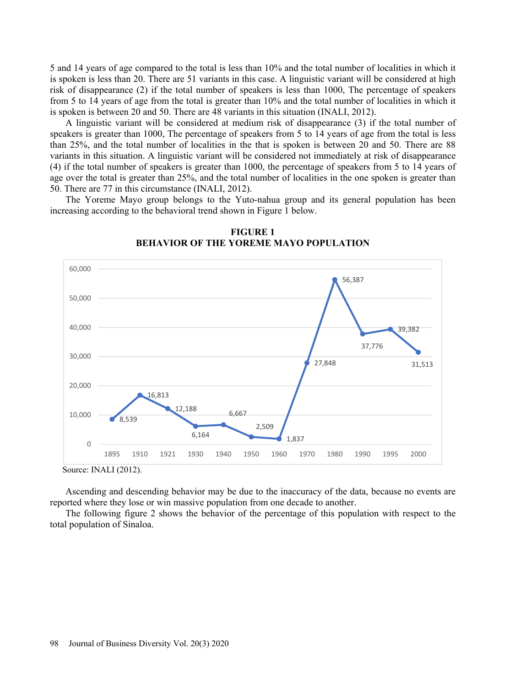5 and 14 years of age compared to the total is less than 10% and the total number of localities in which it is spoken is less than 20. There are 51 variants in this case. A linguistic variant will be considered at high risk of disappearance (2) if the total number of speakers is less than 1000, The percentage of speakers from 5 to 14 years of age from the total is greater than 10% and the total number of localities in which it is spoken is between 20 and 50. There are 48 variants in this situation (INALI, 2012).

A linguistic variant will be considered at medium risk of disappearance (3) if the total number of speakers is greater than 1000, The percentage of speakers from 5 to 14 years of age from the total is less than 25%, and the total number of localities in the that is spoken is between 20 and 50. There are 88 variants in this situation. A linguistic variant will be considered not immediately at risk of disappearance (4) if the total number of speakers is greater than 1000, the percentage of speakers from 5 to 14 years of age over the total is greater than 25%, and the total number of localities in the one spoken is greater than 50. There are 77 in this circumstance (INALI, 2012).

The Yoreme Mayo group belongs to the Yuto-nahua group and its general population has been increasing according to the behavioral trend shown in Figure 1 below.



**FIGURE 1 BEHAVIOR OF THE YOREME MAYO POPULATION** 

Source: INALI (2012).

Ascending and descending behavior may be due to the inaccuracy of the data, because no events are reported where they lose or win massive population from one decade to another.

The following figure 2 shows the behavior of the percentage of this population with respect to the total population of Sinaloa.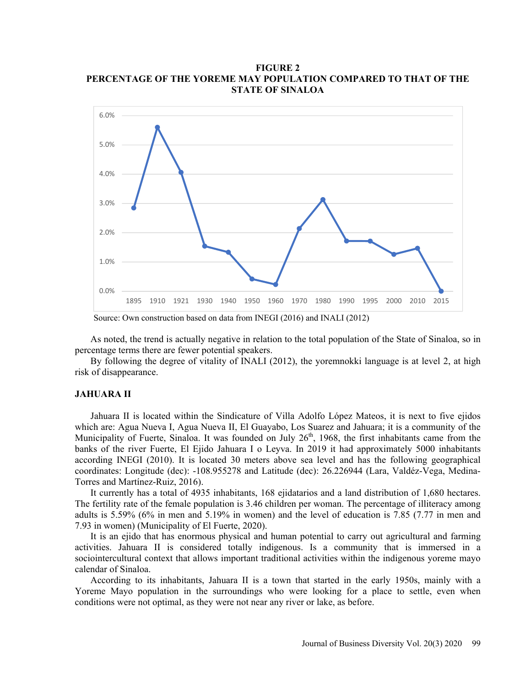**FIGURE 2 PERCENTAGE OF THE YOREME MAY POPULATION COMPARED TO THAT OF THE STATE OF SINALOA** 



Source: Own construction based on data from INEGI (2016) and INALI (2012)

As noted, the trend is actually negative in relation to the total population of the State of Sinaloa, so in percentage terms there are fewer potential speakers.

By following the degree of vitality of INALI (2012), the yoremnokki language is at level 2, at high risk of disappearance.

#### **JAHUARA II**

Jahuara II is located within the Sindicature of Villa Adolfo López Mateos, it is next to five ejidos which are: Agua Nueva I, Agua Nueva II, El Guayabo, Los Suarez and Jahuara; it is a community of the Municipality of Fuerte, Sinaloa. It was founded on July 26<sup>th</sup>, 1968, the first inhabitants came from the banks of the river Fuerte, El Ejido Jahuara I o Leyva. In 2019 it had approximately 5000 inhabitants according INEGI (2010). It is located 30 meters above sea level and has the following geographical coordinates: Longitude (dec): -108.955278 and Latitude (dec): 26.226944 (Lara, Valdéz-Vega, Medina-Torres and Martínez-Ruiz, 2016).

It currently has a total of 4935 inhabitants, 168 ejidatarios and a land distribution of 1,680 hectares. The fertility rate of the female population is 3.46 children per woman. The percentage of illiteracy among adults is 5.59% (6% in men and 5.19% in women) and the level of education is 7.85 (7.77 in men and 7.93 in women) (Municipality of El Fuerte, 2020).

It is an ejido that has enormous physical and human potential to carry out agricultural and farming activities. Jahuara II is considered totally indigenous. Is a community that is immersed in a sociointercultural context that allows important traditional activities within the indigenous yoreme mayo calendar of Sinaloa.

According to its inhabitants, Jahuara II is a town that started in the early 1950s, mainly with a Yoreme Mayo population in the surroundings who were looking for a place to settle, even when conditions were not optimal, as they were not near any river or lake, as before.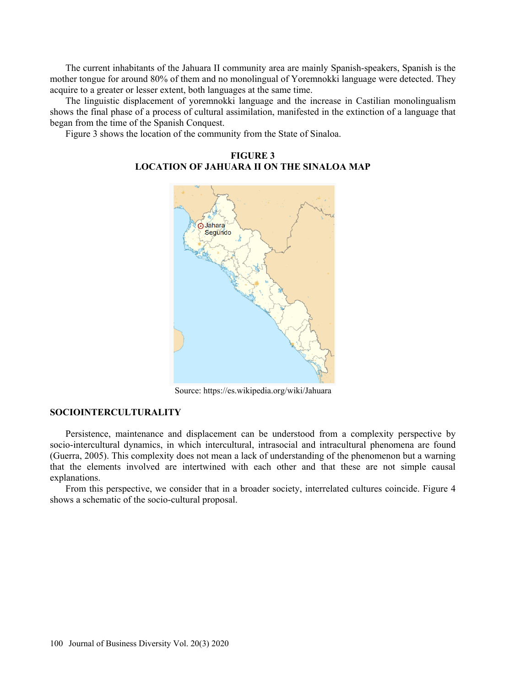The current inhabitants of the Jahuara II community area are mainly Spanish-speakers, Spanish is the mother tongue for around 80% of them and no monolingual of Yoremnokki language were detected. They acquire to a greater or lesser extent, both languages at the same time.

The linguistic displacement of yoremnokki language and the increase in Castilian monolingualism shows the final phase of a process of cultural assimilation, manifested in the extinction of a language that began from the time of the Spanish Conquest.

Figure 3 shows the location of the community from the State of Sinaloa.



**FIGURE 3 LOCATION OF JAHUARA II ON THE SINALOA MAP** 

Source: https://es.wikipedia.org/wiki/Jahuara

#### **SOCIOINTERCULTURALITY**

Persistence, maintenance and displacement can be understood from a complexity perspective by socio-intercultural dynamics, in which intercultural, intrasocial and intracultural phenomena are found (Guerra, 2005). This complexity does not mean a lack of understanding of the phenomenon but a warning that the elements involved are intertwined with each other and that these are not simple causal explanations.

From this perspective, we consider that in a broader society, interrelated cultures coincide. Figure 4 shows a schematic of the socio-cultural proposal.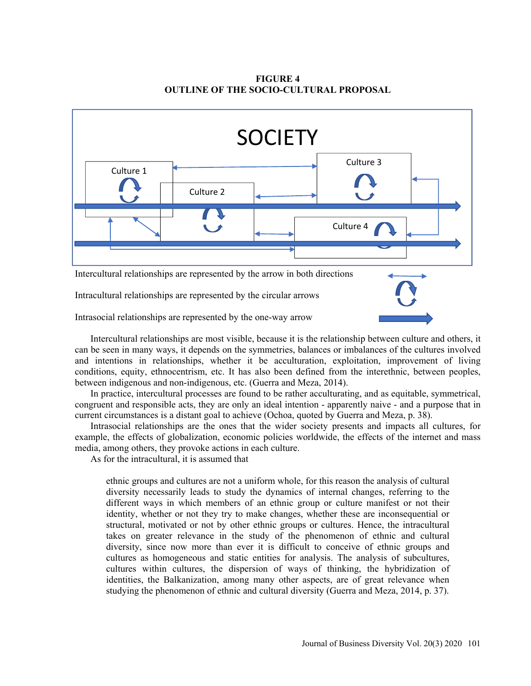**FIGURE 4 OUTLINE OF THE SOCIO-CULTURAL PROPOSAL** 



Intrasocial relationships are represented by the one-way arrow

Intercultural relationships are most visible, because it is the relationship between culture and others, it can be seen in many ways, it depends on the symmetries, balances or imbalances of the cultures involved and intentions in relationships, whether it be acculturation, exploitation, improvement of living conditions, equity, ethnocentrism, etc. It has also been defined from the interethnic, between peoples, between indigenous and non-indigenous, etc. (Guerra and Meza, 2014).

In practice, intercultural processes are found to be rather acculturating, and as equitable, symmetrical, congruent and responsible acts, they are only an ideal intention - apparently naive - and a purpose that in current circumstances is a distant goal to achieve (Ochoa, quoted by Guerra and Meza, p. 38).

Intrasocial relationships are the ones that the wider society presents and impacts all cultures, for example, the effects of globalization, economic policies worldwide, the effects of the internet and mass media, among others, they provoke actions in each culture.

As for the intracultural, it is assumed that

ethnic groups and cultures are not a uniform whole, for this reason the analysis of cultural diversity necessarily leads to study the dynamics of internal changes, referring to the different ways in which members of an ethnic group or culture manifest or not their identity, whether or not they try to make changes, whether these are inconsequential or structural, motivated or not by other ethnic groups or cultures. Hence, the intracultural takes on greater relevance in the study of the phenomenon of ethnic and cultural diversity, since now more than ever it is difficult to conceive of ethnic groups and cultures as homogeneous and static entities for analysis. The analysis of subcultures, cultures within cultures, the dispersion of ways of thinking, the hybridization of identities, the Balkanization, among many other aspects, are of great relevance when studying the phenomenon of ethnic and cultural diversity (Guerra and Meza, 2014, p. 37).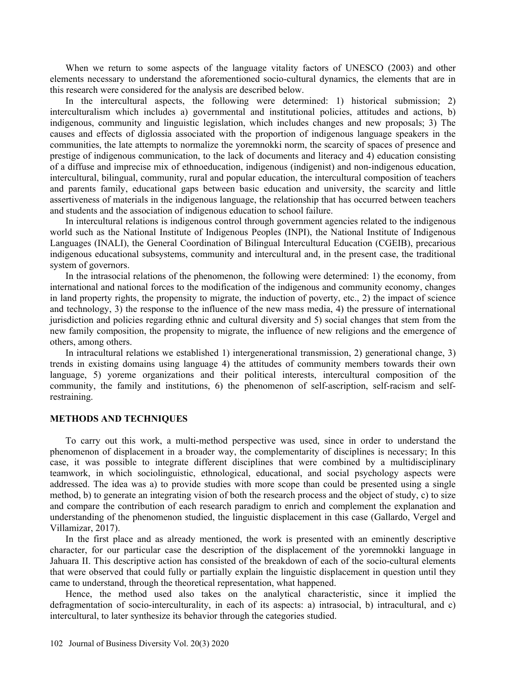When we return to some aspects of the language vitality factors of UNESCO (2003) and other elements necessary to understand the aforementioned socio-cultural dynamics, the elements that are in this research were considered for the analysis are described below.

In the intercultural aspects, the following were determined: 1) historical submission; 2) interculturalism which includes a) governmental and institutional policies, attitudes and actions, b) indigenous, community and linguistic legislation, which includes changes and new proposals; 3) The causes and effects of diglossia associated with the proportion of indigenous language speakers in the communities, the late attempts to normalize the yoremnokki norm, the scarcity of spaces of presence and prestige of indigenous communication, to the lack of documents and literacy and 4) education consisting of a diffuse and imprecise mix of ethnoeducation, indigenous (indigenist) and non-indigenous education, intercultural, bilingual, community, rural and popular education, the intercultural composition of teachers and parents family, educational gaps between basic education and university, the scarcity and little assertiveness of materials in the indigenous language, the relationship that has occurred between teachers and students and the association of indigenous education to school failure.

In intercultural relations is indigenous control through government agencies related to the indigenous world such as the National Institute of Indigenous Peoples (INPI), the National Institute of Indigenous Languages (INALI), the General Coordination of Bilingual Intercultural Education (CGEIB), precarious indigenous educational subsystems, community and intercultural and, in the present case, the traditional system of governors.

In the intrasocial relations of the phenomenon, the following were determined: 1) the economy, from international and national forces to the modification of the indigenous and community economy, changes in land property rights, the propensity to migrate, the induction of poverty, etc., 2) the impact of science and technology, 3) the response to the influence of the new mass media, 4) the pressure of international jurisdiction and policies regarding ethnic and cultural diversity and 5) social changes that stem from the new family composition, the propensity to migrate, the influence of new religions and the emergence of others, among others.

In intracultural relations we established 1) intergenerational transmission, 2) generational change, 3) trends in existing domains using language 4) the attitudes of community members towards their own language, 5) yoreme organizations and their political interests, intercultural composition of the community, the family and institutions, 6) the phenomenon of self-ascription, self-racism and selfrestraining.

#### **METHODS AND TECHNIQUES**

To carry out this work, a multi-method perspective was used, since in order to understand the phenomenon of displacement in a broader way, the complementarity of disciplines is necessary; In this case, it was possible to integrate different disciplines that were combined by a multidisciplinary teamwork, in which sociolinguistic, ethnological, educational, and social psychology aspects were addressed. The idea was a) to provide studies with more scope than could be presented using a single method, b) to generate an integrating vision of both the research process and the object of study, c) to size and compare the contribution of each research paradigm to enrich and complement the explanation and understanding of the phenomenon studied, the linguistic displacement in this case (Gallardo, Vergel and Villamizar, 2017).

In the first place and as already mentioned, the work is presented with an eminently descriptive character, for our particular case the description of the displacement of the yoremnokki language in Jahuara II. This descriptive action has consisted of the breakdown of each of the socio-cultural elements that were observed that could fully or partially explain the linguistic displacement in question until they came to understand, through the theoretical representation, what happened.

Hence, the method used also takes on the analytical characteristic, since it implied the defragmentation of socio-interculturality, in each of its aspects: a) intrasocial, b) intracultural, and c) intercultural, to later synthesize its behavior through the categories studied.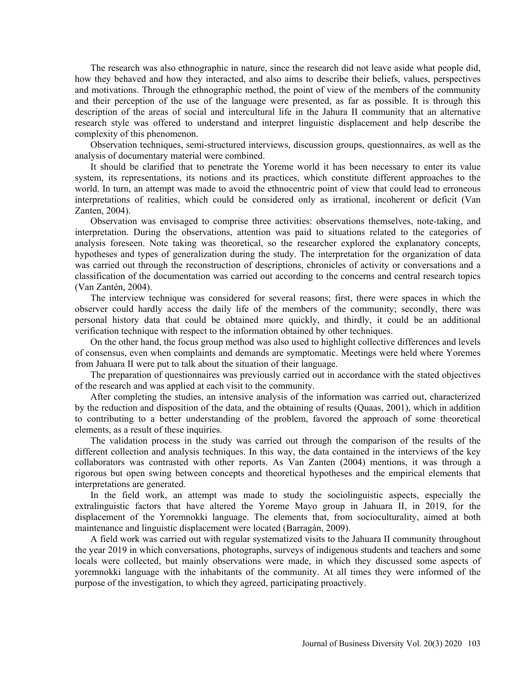The research was also ethnographic in nature, since the research did not leave aside what people did, how they behaved and how they interacted, and also aims to describe their beliefs, values, perspectives and motivations. Through the ethnographic method, the point of view of the members of the community and their perception of the use of the language were presented, as far as possible. It is through this description of the areas of social and intercultural life in the Jahura II community that an alternative research style was offered to understand and interpret linguistic displacement and help describe the complexity of this phenomenon.

Observation techniques, semi-structured interviews, discussion groups, questionnaires, as well as the analysis of documentary material were combined.

It should be clarified that to penetrate the Yoreme world it has been necessary to enter its value system, its representations, its notions and its practices, which constitute different approaches to the world. In turn, an attempt was made to avoid the ethnocentric point of view that could lead to erroneous interpretations of realities, which could be considered only as irrational, incoherent or deficit (Van Zanten, 2004).

Observation was envisaged to comprise three activities: observations themselves, note-taking, and interpretation. During the observations, attention was paid to situations related to the categories of analysis foreseen. Note taking was theoretical, so the researcher explored the explanatory concepts, hypotheses and types of generalization during the study. The interpretation for the organization of data was carried out through the reconstruction of descriptions, chronicles of activity or conversations and a classification of the documentation was carried out according to the concerns and central research topics (Van Zantén, 2004).

The interview technique was considered for several reasons; first, there were spaces in which the observer could hardly access the daily life of the members of the community; secondly, there was personal history data that could be obtained more quickly, and thirdly, it could be an additional verification technique with respect to the information obtained by other techniques.

On the other hand, the focus group method was also used to highlight collective differences and levels of consensus, even when complaints and demands are symptomatic. Meetings were held where Yoremes from Jahuara II were put to talk about the situation of their language.

The preparation of questionnaires was previously carried out in accordance with the stated objectives of the research and was applied at each visit to the community.

After completing the studies, an intensive analysis of the information was carried out, characterized by the reduction and disposition of the data, and the obtaining of results (Quaas, 2001), which in addition to contributing to a better understanding of the problem, favored the approach of some theoretical elements, as a result of these inquiries.

The validation process in the study was carried out through the comparison of the results of the different collection and analysis techniques. In this way, the data contained in the interviews of the key collaborators was contrasted with other reports. As Van Zanten (2004) mentions, it was through a rigorous but open swing between concepts and theoretical hypotheses and the empirical elements that interpretations are generated.

In the field work, an attempt was made to study the sociolinguistic aspects, especially the extralinguistic factors that have altered the Yoreme Mayo group in Jahuara II, in 2019, for the displacement of the Yoremnokki language. The elements that, from socioculturality, aimed at both maintenance and linguistic displacement were located (Barragán, 2009).

A field work was carried out with regular systematized visits to the Jahuara II community throughout the year 2019 in which conversations, photographs, surveys of indigenous students and teachers and some locals were collected, but mainly observations were made, in which they discussed some aspects of yoremnokki language with the inhabitants of the community. At all times they were informed of the purpose of the investigation, to which they agreed, participating proactively.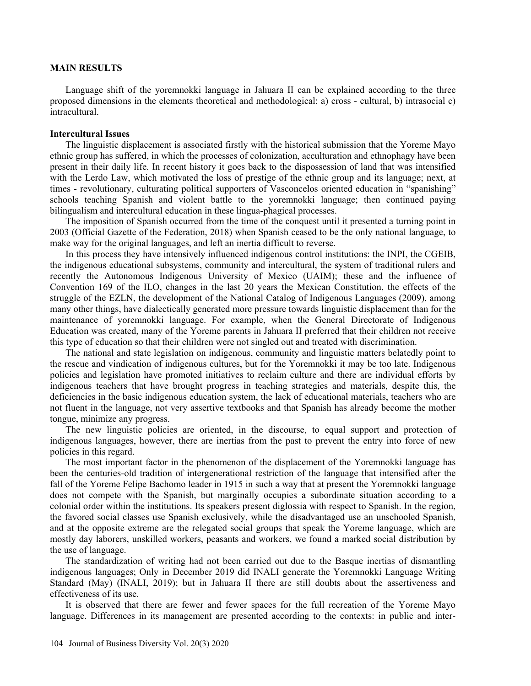#### **MAIN RESULTS**

Language shift of the yoremnokki language in Jahuara II can be explained according to the three proposed dimensions in the elements theoretical and methodological: a) cross - cultural, b) intrasocial c) intracultural.

## **Intercultural Issues**

The linguistic displacement is associated firstly with the historical submission that the Yoreme Mayo ethnic group has suffered, in which the processes of colonization, acculturation and ethnophagy have been present in their daily life. In recent history it goes back to the dispossession of land that was intensified with the Lerdo Law, which motivated the loss of prestige of the ethnic group and its language; next, at times - revolutionary, culturating political supporters of Vasconcelos oriented education in "spanishing" schools teaching Spanish and violent battle to the yoremnokki language; then continued paying bilingualism and intercultural education in these lingua-phagical processes.

The imposition of Spanish occurred from the time of the conquest until it presented a turning point in 2003 (Official Gazette of the Federation, 2018) when Spanish ceased to be the only national language, to make way for the original languages, and left an inertia difficult to reverse.

In this process they have intensively influenced indigenous control institutions: the INPI, the CGEIB, the indigenous educational subsystems, community and intercultural, the system of traditional rulers and recently the Autonomous Indigenous University of Mexico (UAIM); these and the influence of Convention 169 of the ILO, changes in the last 20 years the Mexican Constitution, the effects of the struggle of the EZLN, the development of the National Catalog of Indigenous Languages (2009), among many other things, have dialectically generated more pressure towards linguistic displacement than for the maintenance of yoremnokki language. For example, when the General Directorate of Indigenous Education was created, many of the Yoreme parents in Jahuara II preferred that their children not receive this type of education so that their children were not singled out and treated with discrimination.

The national and state legislation on indigenous, community and linguistic matters belatedly point to the rescue and vindication of indigenous cultures, but for the Yoremnokki it may be too late. Indigenous policies and legislation have promoted initiatives to reclaim culture and there are individual efforts by indigenous teachers that have brought progress in teaching strategies and materials, despite this, the deficiencies in the basic indigenous education system, the lack of educational materials, teachers who are not fluent in the language, not very assertive textbooks and that Spanish has already become the mother tongue, minimize any progress.

The new linguistic policies are oriented, in the discourse, to equal support and protection of indigenous languages, however, there are inertias from the past to prevent the entry into force of new policies in this regard.

The most important factor in the phenomenon of the displacement of the Yoremnokki language has been the centuries-old tradition of intergenerational restriction of the language that intensified after the fall of the Yoreme Felipe Bachomo leader in 1915 in such a way that at present the Yoremnokki language does not compete with the Spanish, but marginally occupies a subordinate situation according to a colonial order within the institutions. Its speakers present diglossia with respect to Spanish. In the region, the favored social classes use Spanish exclusively, while the disadvantaged use an unschooled Spanish, and at the opposite extreme are the relegated social groups that speak the Yoreme language, which are mostly day laborers, unskilled workers, peasants and workers, we found a marked social distribution by the use of language.

The standardization of writing had not been carried out due to the Basque inertias of dismantling indigenous languages; Only in December 2019 did INALI generate the Yoremnokki Language Writing Standard (May) (INALI, 2019); but in Jahuara II there are still doubts about the assertiveness and effectiveness of its use.

It is observed that there are fewer and fewer spaces for the full recreation of the Yoreme Mayo language. Differences in its management are presented according to the contexts: in public and inter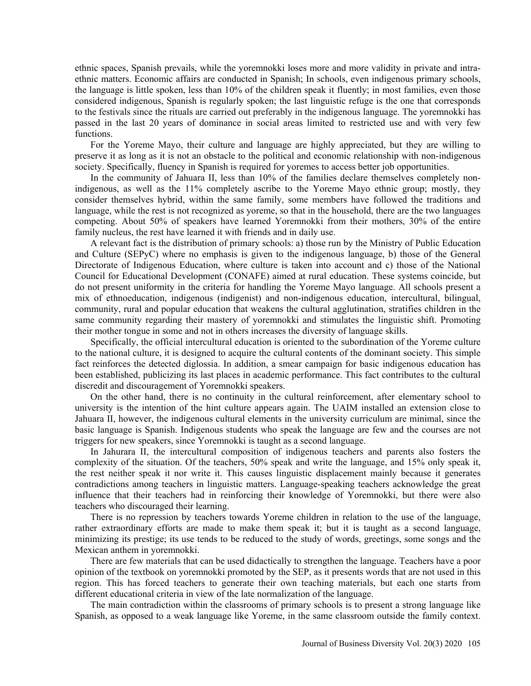ethnic spaces, Spanish prevails, while the yoremnokki loses more and more validity in private and intraethnic matters. Economic affairs are conducted in Spanish; In schools, even indigenous primary schools, the language is little spoken, less than 10% of the children speak it fluently; in most families, even those considered indigenous, Spanish is regularly spoken; the last linguistic refuge is the one that corresponds to the festivals since the rituals are carried out preferably in the indigenous language. The yoremnokki has passed in the last 20 years of dominance in social areas limited to restricted use and with very few functions.

For the Yoreme Mayo, their culture and language are highly appreciated, but they are willing to preserve it as long as it is not an obstacle to the political and economic relationship with non-indigenous society. Specifically, fluency in Spanish is required for yoremes to access better job opportunities.

In the community of Jahuara II, less than 10% of the families declare themselves completely nonindigenous, as well as the 11% completely ascribe to the Yoreme Mayo ethnic group; mostly, they consider themselves hybrid, within the same family, some members have followed the traditions and language, while the rest is not recognized as yoreme, so that in the household, there are the two languages competing. About 50% of speakers have learned Yoremnokki from their mothers, 30% of the entire family nucleus, the rest have learned it with friends and in daily use.

A relevant fact is the distribution of primary schools: a) those run by the Ministry of Public Education and Culture (SEPyC) where no emphasis is given to the indigenous language, b) those of the General Directorate of Indigenous Education, where culture is taken into account and c) those of the National Council for Educational Development (CONAFE) aimed at rural education. These systems coincide, but do not present uniformity in the criteria for handling the Yoreme Mayo language. All schools present a mix of ethnoeducation, indigenous (indigenist) and non-indigenous education, intercultural, bilingual, community, rural and popular education that weakens the cultural agglutination, stratifies children in the same community regarding their mastery of yoremnokki and stimulates the linguistic shift. Promoting their mother tongue in some and not in others increases the diversity of language skills.

Specifically, the official intercultural education is oriented to the subordination of the Yoreme culture to the national culture, it is designed to acquire the cultural contents of the dominant society. This simple fact reinforces the detected diglossia. In addition, a smear campaign for basic indigenous education has been established, publicizing its last places in academic performance. This fact contributes to the cultural discredit and discouragement of Yoremnokki speakers.

On the other hand, there is no continuity in the cultural reinforcement, after elementary school to university is the intention of the hint culture appears again. The UAIM installed an extension close to Jahuara II, however, the indigenous cultural elements in the university curriculum are minimal, since the basic language is Spanish. Indigenous students who speak the language are few and the courses are not triggers for new speakers, since Yoremnokki is taught as a second language.

In Jahurara II, the intercultural composition of indigenous teachers and parents also fosters the complexity of the situation. Of the teachers, 50% speak and write the language, and 15% only speak it, the rest neither speak it nor write it. This causes linguistic displacement mainly because it generates contradictions among teachers in linguistic matters. Language-speaking teachers acknowledge the great influence that their teachers had in reinforcing their knowledge of Yoremnokki, but there were also teachers who discouraged their learning.

There is no repression by teachers towards Yoreme children in relation to the use of the language, rather extraordinary efforts are made to make them speak it; but it is taught as a second language, minimizing its prestige; its use tends to be reduced to the study of words, greetings, some songs and the Mexican anthem in yoremnokki.

There are few materials that can be used didactically to strengthen the language. Teachers have a poor opinion of the textbook on yoremnokki promoted by the SEP, as it presents words that are not used in this region. This has forced teachers to generate their own teaching materials, but each one starts from different educational criteria in view of the late normalization of the language.

The main contradiction within the classrooms of primary schools is to present a strong language like Spanish, as opposed to a weak language like Yoreme, in the same classroom outside the family context.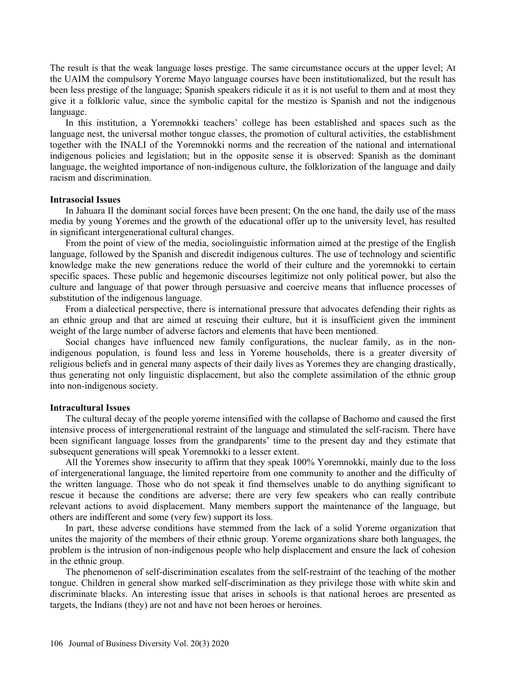The result is that the weak language loses prestige. The same circumstance occurs at the upper level; At the UAIM the compulsory Yoreme Mayo language courses have been institutionalized, but the result has been less prestige of the language; Spanish speakers ridicule it as it is not useful to them and at most they give it a folkloric value, since the symbolic capital for the mestizo is Spanish and not the indigenous language.

In this institution, a Yoremnokki teachers' college has been established and spaces such as the language nest, the universal mother tongue classes, the promotion of cultural activities, the establishment together with the INALI of the Yoremnokki norms and the recreation of the national and international indigenous policies and legislation; but in the opposite sense it is observed: Spanish as the dominant language, the weighted importance of non-indigenous culture, the folklorization of the language and daily racism and discrimination.

## **Intrasocial Issues**

In Jahuara II the dominant social forces have been present; On the one hand, the daily use of the mass media by young Yoremes and the growth of the educational offer up to the university level, has resulted in significant intergenerational cultural changes.

From the point of view of the media, sociolinguistic information aimed at the prestige of the English language, followed by the Spanish and discredit indigenous cultures. The use of technology and scientific knowledge make the new generations reduce the world of their culture and the yoremnokki to certain specific spaces. These public and hegemonic discourses legitimize not only political power, but also the culture and language of that power through persuasive and coercive means that influence processes of substitution of the indigenous language.

From a dialectical perspective, there is international pressure that advocates defending their rights as an ethnic group and that are aimed at rescuing their culture, but it is insufficient given the imminent weight of the large number of adverse factors and elements that have been mentioned.

Social changes have influenced new family configurations, the nuclear family, as in the nonindigenous population, is found less and less in Yoreme households, there is a greater diversity of religious beliefs and in general many aspects of their daily lives as Yoremes they are changing drastically, thus generating not only linguistic displacement, but also the complete assimilation of the ethnic group into non-indigenous society.

#### **Intracultural Issues**

The cultural decay of the people yoreme intensified with the collapse of Bachomo and caused the first intensive process of intergenerational restraint of the language and stimulated the self-racism. There have been significant language losses from the grandparents' time to the present day and they estimate that subsequent generations will speak Yoremnokki to a lesser extent.

All the Yoremes show insecurity to affirm that they speak 100% Yoremnokki, mainly due to the loss of intergenerational language, the limited repertoire from one community to another and the difficulty of the written language. Those who do not speak it find themselves unable to do anything significant to rescue it because the conditions are adverse; there are very few speakers who can really contribute relevant actions to avoid displacement. Many members support the maintenance of the language, but others are indifferent and some (very few) support its loss.

In part, these adverse conditions have stemmed from the lack of a solid Yoreme organization that unites the majority of the members of their ethnic group. Yoreme organizations share both languages, the problem is the intrusion of non-indigenous people who help displacement and ensure the lack of cohesion in the ethnic group.

The phenomenon of self-discrimination escalates from the self-restraint of the teaching of the mother tongue. Children in general show marked self-discrimination as they privilege those with white skin and discriminate blacks. An interesting issue that arises in schools is that national heroes are presented as targets, the Indians (they) are not and have not been heroes or heroines.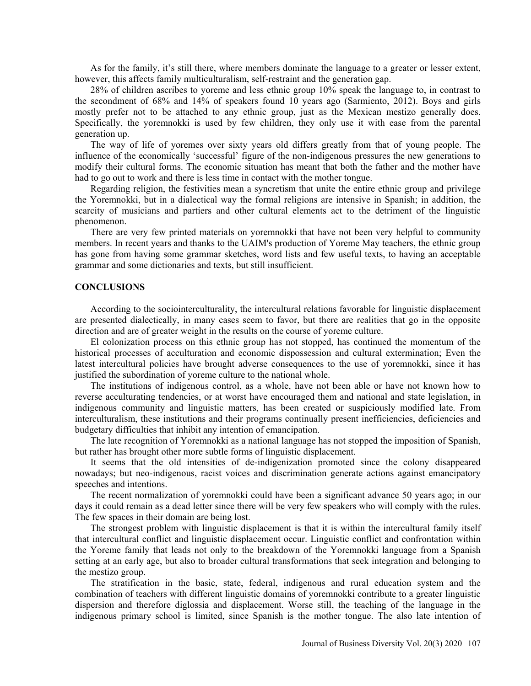As for the family, it's still there, where members dominate the language to a greater or lesser extent, however, this affects family multiculturalism, self-restraint and the generation gap.

28% of children ascribes to yoreme and less ethnic group 10% speak the language to, in contrast to the secondment of 68% and 14% of speakers found 10 years ago (Sarmiento, 2012). Boys and girls mostly prefer not to be attached to any ethnic group, just as the Mexican mestizo generally does. Specifically, the yoremnokki is used by few children, they only use it with ease from the parental generation up.

The way of life of yoremes over sixty years old differs greatly from that of young people. The influence of the economically 'successful' figure of the non-indigenous pressures the new generations to modify their cultural forms. The economic situation has meant that both the father and the mother have had to go out to work and there is less time in contact with the mother tongue.

Regarding religion, the festivities mean a syncretism that unite the entire ethnic group and privilege the Yoremnokki, but in a dialectical way the formal religions are intensive in Spanish; in addition, the scarcity of musicians and partiers and other cultural elements act to the detriment of the linguistic phenomenon.

There are very few printed materials on yoremnokki that have not been very helpful to community members. In recent years and thanks to the UAIM's production of Yoreme May teachers, the ethnic group has gone from having some grammar sketches, word lists and few useful texts, to having an acceptable grammar and some dictionaries and texts, but still insufficient.

#### **CONCLUSIONS**

According to the sociointerculturality, the intercultural relations favorable for linguistic displacement are presented dialectically, in many cases seem to favor, but there are realities that go in the opposite direction and are of greater weight in the results on the course of yoreme culture.

El colonization process on this ethnic group has not stopped, has continued the momentum of the historical processes of acculturation and economic dispossession and cultural extermination; Even the latest intercultural policies have brought adverse consequences to the use of yoremnokki, since it has justified the subordination of yoreme culture to the national whole.

The institutions of indigenous control, as a whole, have not been able or have not known how to reverse acculturating tendencies, or at worst have encouraged them and national and state legislation, in indigenous community and linguistic matters, has been created or suspiciously modified late. From interculturalism, these institutions and their programs continually present inefficiencies, deficiencies and budgetary difficulties that inhibit any intention of emancipation.

The late recognition of Yoremnokki as a national language has not stopped the imposition of Spanish, but rather has brought other more subtle forms of linguistic displacement.

It seems that the old intensities of de-indigenization promoted since the colony disappeared nowadays; but neo-indigenous, racist voices and discrimination generate actions against emancipatory speeches and intentions.

The recent normalization of yoremnokki could have been a significant advance 50 years ago; in our days it could remain as a dead letter since there will be very few speakers who will comply with the rules. The few spaces in their domain are being lost.

The strongest problem with linguistic displacement is that it is within the intercultural family itself that intercultural conflict and linguistic displacement occur. Linguistic conflict and confrontation within the Yoreme family that leads not only to the breakdown of the Yoremnokki language from a Spanish setting at an early age, but also to broader cultural transformations that seek integration and belonging to the mestizo group.

The stratification in the basic, state, federal, indigenous and rural education system and the combination of teachers with different linguistic domains of yoremnokki contribute to a greater linguistic dispersion and therefore diglossia and displacement. Worse still, the teaching of the language in the indigenous primary school is limited, since Spanish is the mother tongue. The also late intention of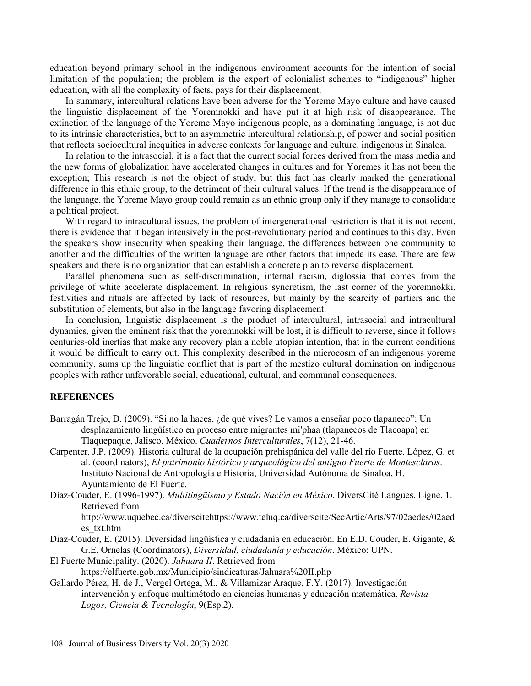education beyond primary school in the indigenous environment accounts for the intention of social limitation of the population; the problem is the export of colonialist schemes to "indigenous" higher education, with all the complexity of facts, pays for their displacement.

In summary, intercultural relations have been adverse for the Yoreme Mayo culture and have caused the linguistic displacement of the Yoremnokki and have put it at high risk of disappearance. The extinction of the language of the Yoreme Mayo indigenous people, as a dominating language, is not due to its intrinsic characteristics, but to an asymmetric intercultural relationship, of power and social position that reflects sociocultural inequities in adverse contexts for language and culture. indigenous in Sinaloa.

In relation to the intrasocial, it is a fact that the current social forces derived from the mass media and the new forms of globalization have accelerated changes in cultures and for Yoremes it has not been the exception; This research is not the object of study, but this fact has clearly marked the generational difference in this ethnic group, to the detriment of their cultural values. If the trend is the disappearance of the language, the Yoreme Mayo group could remain as an ethnic group only if they manage to consolidate a political project.

With regard to intracultural issues, the problem of intergenerational restriction is that it is not recent, there is evidence that it began intensively in the post-revolutionary period and continues to this day. Even the speakers show insecurity when speaking their language, the differences between one community to another and the difficulties of the written language are other factors that impede its ease. There are few speakers and there is no organization that can establish a concrete plan to reverse displacement.

Parallel phenomena such as self-discrimination, internal racism, diglossia that comes from the privilege of white accelerate displacement. In religious syncretism, the last corner of the yoremnokki, festivities and rituals are affected by lack of resources, but mainly by the scarcity of partiers and the substitution of elements, but also in the language favoring displacement.

In conclusion, linguistic displacement is the product of intercultural, intrasocial and intracultural dynamics, given the eminent risk that the yoremnokki will be lost, it is difficult to reverse, since it follows centuries-old inertias that make any recovery plan a noble utopian intention, that in the current conditions it would be difficult to carry out. This complexity described in the microcosm of an indigenous yoreme community, sums up the linguistic conflict that is part of the mestizo cultural domination on indigenous peoples with rather unfavorable social, educational, cultural, and communal consequences.

## **REFERENCES**

- Barragán Trejo, D. (2009). "Si no la haces, ¿de qué vives? Le vamos a enseñar poco tlapaneco": Un desplazamiento lingüístico en proceso entre migrantes mi'phaa (tlapanecos de Tlacoapa) en Tlaquepaque, Jalisco, México. *Cuadernos Interculturales*, 7(12), 21-46.
- Carpenter, J.P. (2009). Historia cultural de la ocupación prehispánica del valle del río Fuerte. López, G. et al. (coordinators), *El patrimonio histórico y arqueológico del antiguo Fuerte de Montesclaros*. Instituto Nacional de Antropología e Historia, Universidad Autónoma de Sinaloa, H. Ayuntamiento de El Fuerte.
- Díaz-Couder, E. (1996-1997). *Multilingüismo y Estado Nación en México*. DiversCité Langues. Ligne. 1. Retrieved from

http://www.uquebec.ca/diverscitehttps://www.teluq.ca/diverscite/SecArtic/Arts/97/02aedes/02aed es\_txt.htm

Díaz-Couder, E. (2015). Diversidad lingüística y ciudadanía en educación. En E.D. Couder, E. Gigante, & G.E. Ornelas (Coordinators), *Diversidad, ciudadanía y educación*. México: UPN.

El Fuerte Municipality. (2020). *Jahuara II*. Retrieved from

- https://elfuerte.gob.mx/Municipio/sindicaturas/Jahuara%20II.php
- Gallardo Pérez, H. de J., Vergel Ortega, M., & Villamizar Araque, F.Y. (2017). Investigación intervención y enfoque multimétodo en ciencias humanas y educación matemática. *Revista Logos, Ciencia & Tecnología*, 9(Esp.2).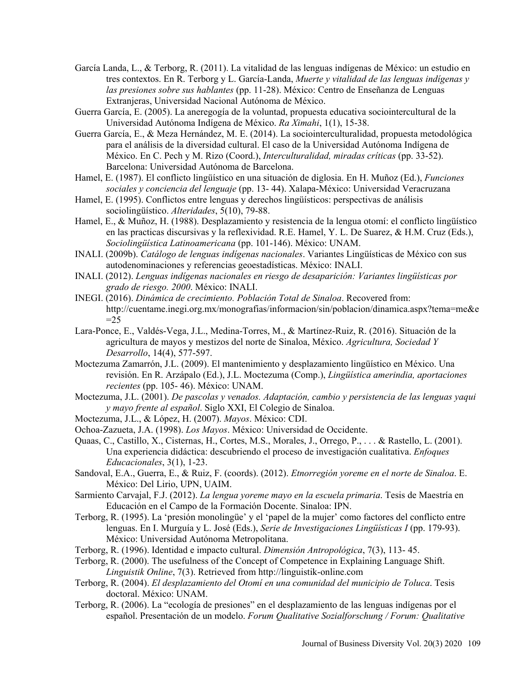- García Landa, L., & Terborg, R. (2011). La vitalidad de las lenguas indígenas de México: un estudio en tres contextos. En R. Terborg y L. García-Landa, *Muerte y vitalidad de las lenguas indígenas y las presiones sobre sus hablantes* (pp. 11-28). México: Centro de Enseñanza de Lenguas Extranjeras, Universidad Nacional Autónoma de México.
- Guerra García, E. (2005). La aneregogía de la voluntad, propuesta educativa sociointercultural de la Universidad Autónoma Indígena de México. *Ra Ximahi*, 1(1), 15-38.
- Guerra García, E., & Meza Hernández, M. E. (2014). La sociointerculturalidad, propuesta metodológica para el análisis de la diversidad cultural. El caso de la Universidad Autónoma Indígena de México. En C. Pech y M. Rizo (Coord.), *Interculturalidad, miradas críticas* (pp. 33-52). Barcelona: Universidad Autónoma de Barcelona.
- Hamel, E. (1987). El conflicto lingüístico en una situación de diglosia. En H. Muñoz (Ed.), *Funciones sociales y conciencia del lenguaje* (pp. 13- 44). Xalapa-México: Universidad Veracruzana
- Hamel, E. (1995). Conflictos entre lenguas y derechos lingüísticos: perspectivas de análisis sociolingüístico. *Alteridades*, 5(10), 79-88.
- Hamel, E., & Muñoz, H. (1988). Desplazamiento y resistencia de la lengua otomí: el conflicto lingüístico en las practicas discursivas y la reflexividad. R.E. Hamel, Y. L. De Suarez, & H.M. Cruz (Eds.), *Sociolingüística Latinoamericana* (pp. 101-146). México: UNAM.
- INALI. (2009b). *Catálogo de lenguas indígenas nacionales*. Variantes Lingüísticas de México con sus autodenominaciones y referencias geoestadísticas. México: INALI.
- INALI. (2012). *Lenguas indígenas nacionales en riesgo de desaparición: Variantes lingüísticas por grado de riesgo. 2000*. México: INALI.
- INEGI. (2016). *Dinámica de crecimiento. Población Total de Sinaloa*. Recovered from: http://cuentame.inegi.org.mx/monografias/informacion/sin/poblacion/dinamica.aspx?tema=me&e  $=25$
- Lara-Ponce, E., Valdés-Vega, J.L., Medina-Torres, M., & Martínez-Ruiz, R. (2016). Situación de la agricultura de mayos y mestizos del norte de Sinaloa, México. *Agricultura, Sociedad Y Desarrollo*, 14(4), 577-597.
- Moctezuma Zamarrón, J.L. (2009). El mantenimiento y desplazamiento lingüístico en México. Una revisión. En R. Arzápalo (Ed.), J.L. Moctezuma (Comp.), *Lingüística amerindia, aportaciones recientes* (pp. 105- 46). México: UNAM.
- Moctezuma, J.L. (2001). *De pascolas y venados. Adaptación, cambio y persistencia de las lenguas yaqui y mayo frente al español*. Siglo XXI, El Colegio de Sinaloa.
- Moctezuma, J.L., & López, H. (2007). *Mayos*. México: CDI.
- Ochoa-Zazueta, J.A. (1998). *Los Mayos*. México: Universidad de Occidente.
- Quaas, C., Castillo, X., Cisternas, H., Cortes, M.S., Morales, J., Orrego, P., . . . & Rastello, L. (2001). Una experiencia didáctica: descubriendo el proceso de investigación cualitativa. *Enfoques Educacionales*, 3(1), 1-23.
- Sandoval, E.A., Guerra, E., & Ruiz, F. (coords). (2012). *Etnorregión yoreme en el norte de Sinaloa*. E. México: Del Lirio, UPN, UAIM.
- Sarmiento Carvajal, F.J. (2012). *La lengua yoreme mayo en la escuela primaria*. Tesis de Maestría en Educación en el Campo de la Formación Docente. Sinaloa: IPN.
- Terborg, R. (1995). La 'presión monolingüe' y el 'papel de la mujer' como factores del conflicto entre lenguas. En I. Murguía y L. José (Eds.), *Serie de Investigaciones Lingüísticas I* (pp. 179-93). México: Universidad Autónoma Metropolitana.
- Terborg, R. (1996). Identidad e impacto cultural. *Dimensión Antropológica*, 7(3), 113- 45.
- Terborg, R. (2000). The usefulness of the Concept of Competence in Explaining Language Shift. *Linguistik Online*, 7(3). Retrieved from http://linguistik-online.com
- Terborg, R. (2004). *El desplazamiento del Otomí en una comunidad del municipio de Toluca*. Tesis doctoral. México: UNAM.
- Terborg, R. (2006). La "ecología de presiones" en el desplazamiento de las lenguas indígenas por el español. Presentación de un modelo. *Forum Qualitative Sozialforschung / Forum: Qualitative*